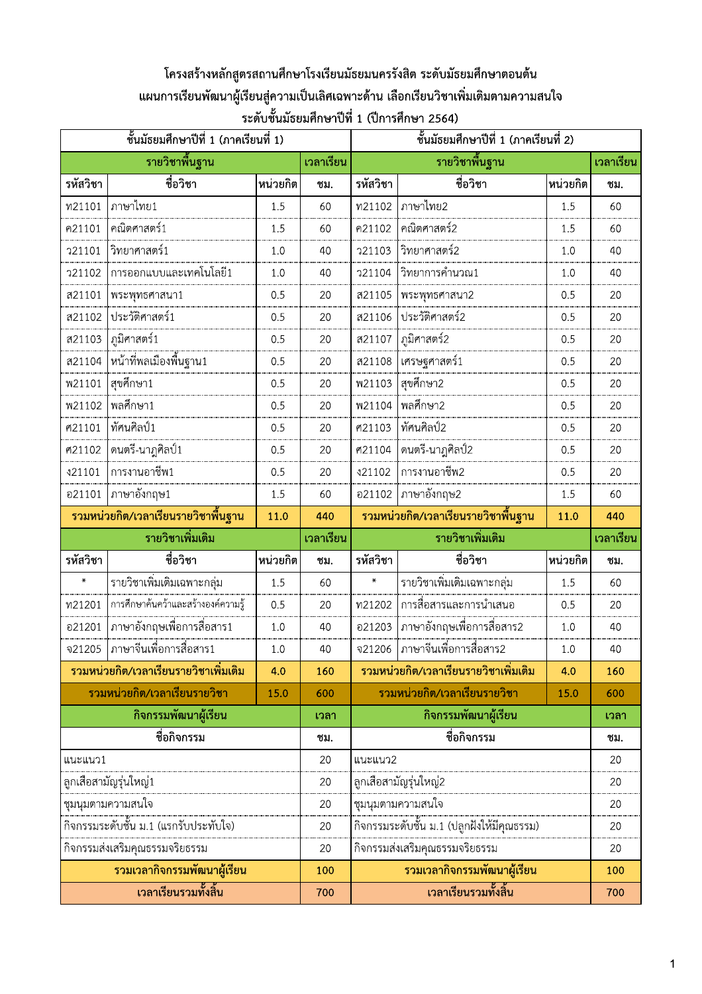# โครงสร้างหลักสูตรสถานศึกษาโรงเรียนมัธยมนครรังสิต ระดับมัธยมศึกษาตอนต้น ้ แผนการเรียนพัฒนาผู้เรียนสู่ความเป็นเลิศเฉพาะด้าน เลือกเรียนวิชาเพิ่มเติมตามความสนใจ ์ ระดับชั้นมัธยมศึกษาปีที่ 1 (ปีการศึกษา 2564)

| ชั้นมัธยมศึกษาปีที่ 1 (ภาคเรียนที่ 1) |                                         |          |           |                | ชั้นมัธยมศึกษาปีที่ 1 (ภาคเรียนที่ 2)      |          |           |  |
|---------------------------------------|-----------------------------------------|----------|-----------|----------------|--------------------------------------------|----------|-----------|--|
|                                       | รายวิชาพื้นฐาน                          |          | เวลาเรียน |                | รายวิชาพื้นฐาน                             |          | เวลาเรียน |  |
| รหัสวิชา                              | ชื่อวิชา                                | หน่วยกิต | ชม.       | รหัสวิชา       | ชื่อวิชา                                   | หน่วยกิต | ชม.       |  |
| พ21101                                | ภาษาไทย1                                | 1.5      | 60        | พ21102         | ภาษาไทย2                                   | 1.5      | 60        |  |
| ค21101                                | คณิตศาสตร์1                             | 1.5      | 60        | ค21102         | คณิตศาสตร์2                                | 1.5      | 60        |  |
| <b>221101</b>                         | วิทยาศาสตร์1                            | 1.0      | 40        | 721103         | วิทยาศาสตร์2                               | 1.0      | 40        |  |
| <b>21102</b>                          | การออกแบบและเทคโนโลยี1                  | 1.0      | 40        | <b>221104</b>  | วิทยาการคำนวณ1                             | 1.0      | 40        |  |
| ส21101                                | พระพุทธศาสนา1                           | 0.5      | 20        | ส21105         | พระพุทธศาสนา2                              | 0.5      | 20        |  |
| ส21102                                | ประวัติศาสตร์1                          | 0.5      | 20        | ส21106         | ประวัติศาสตร์2                             | 0.5      | 20        |  |
| ส21103                                | ภูมิศาสตร์1                             | 0.5      | 20        | ส21107         | ภูมิศาสตร์2                                | 0.5      | 20        |  |
| ส21104                                |                                         | 0.5      | 20        | ส21108         | เศรษฐศาสตร์1                               | 0.5      | 20        |  |
| <b>W21101</b>                         | สุขศึกษา1                               | 0.5      | 20        | <b>W21103</b>  | สุขศึกษา2                                  | 0.5      | 20        |  |
| <b>W21102</b>                         | พลศึกษา1                                | 0.5      | 20        | <b>W21104</b>  | พลศึกษา2                                   | 0.5      | 20        |  |
| ศ21101                                | ทัศนศิลป์1                              | 0.5      | 20        | ศ21103         | ทัศนศิลป์2                                 | 0.5      | 20        |  |
| ศ21102                                | ดนตรี-นาฎศิลป์1                         | 0.5      | 20        | ศ21104         | ดนตรี-นาฎศิลป์2                            | 0.5      | 20        |  |
| \$21101                               | การงานอาชีพ1                            | 0.5      | 20        | \$21102        | การงานอาชีพ2                               | 0.5      | 20        |  |
| อ21101                                | ภาษาอังกฤษ1                             | 1.5      | 60        | อ21102         | ภาษาอังกฤษ2                                | 1.5      | 60        |  |
|                                       | ้รวมหน่วยกิต/เวลาเรียนรายวิชาพื้นฐาน    | 11.0     | 440       |                | ้รวมหน่วยกิต/เวลาเรียนรายวิชาพื้นฐาน       | 11.0     | 440       |  |
|                                       | รายวิชาเพิ่มเติม                        |          | เวลาเรียน |                | รายวิชาเพิ่มเติม                           |          | เวลาเรียน |  |
| รหัสวิชา                              | ชื่อวิชา                                | หน่วยกิต | ชม.       | รหัสวิชา       | ชื่อวิชา                                   | หน่วยกิต | ชม.       |  |
| $\pmb{\times}$                        | _________<br>รายวิชาเพิ่มเติมเฉพาะกลุ่ม | 1.5      | 60        | $\pmb{\times}$ |                                            | 1.5      | 60        |  |
| พ21201                                | การศึกษาค้นคว้าและสร้างองค์ความรู้      | 0.5      | 20        | พ21202         | การสื่อสารและการนำเสนอ                     | 0.5      | 20        |  |
| อ21201                                | ภาษาอังกฤษเพื่อการสื่อสาร1              | 1.0      | 40        | อ21203         | ภาษาอังกฤษเพื่อการสื่อสาร2                 | $1.0\,$  | 40        |  |
| จ21205                                | ภาษาจีนเพื่อการสื่อสาร1                 | 1.0      | 40        | จ21206         | ภาษาจีนเพื่อการสื่อสาร2                    | $1.0\,$  | 40        |  |
|                                       | รวมหน่วยกิต/เวลาเรียนรายวิชาเพิ่มเติม   | 4.0      | 160       |                | ้รวมหน่วยกิต/เวลาเรียนรายวิชาเพิ่มเติม     | 4.0      | 160       |  |
|                                       | รวมหน่วยกิต/เวลาเรียนรายวิชา            | 15.0     | 600       |                | รวมหน่วยกิต/เวลาเรียนรายวิชา               | 15.0     | 600       |  |
|                                       | กิจกรรมพัฒนาผู้เรียน                    |          | เวลา      |                | กิจกรรมพัฒนาผู้เรียน                       |          | เวลา      |  |
|                                       | ชื่อกิจกรรม                             |          | ชม.       |                | ชื่อกิจกรรม                                |          | ชม.       |  |
| แนะแนว1                               |                                         |          | 20        |                | แนะแนว2                                    |          |           |  |
|                                       | ลูกเสือสามัญรุ่นใหญ่1                   |          | 20        |                | ลูกเสือสามัญรุ่นใหญ่2                      |          | 20        |  |
|                                       | ชุมนุมตามความสนใจ                       |          | 20        |                | ชุมนุมตามความสนใจ                          |          | 20        |  |
|                                       |                                         |          | 20        |                | กิจกรรมระดับชั้น ม.1 (ปลูกฝังให้มีคุณธรรม) |          | 20        |  |
|                                       | กิจกรรมส่งเสริมคุณธรรมจริยธรรม          |          | 20        |                | กิจกรรมส่งเสริมคุณธรรมจริยธรรม             |          | 20        |  |
|                                       | รวมเวลากิจกรรมพัฒนาผู้เรียน             |          | 100       |                | รวมเวลากิจกรรมพัฒนาผู้เรียน                |          | 100       |  |
| เวลาเรียนรวมทั้งสิ้น                  |                                         |          | 700       |                | เวลาเรียนรวมทั้งสิ้น                       |          | 700       |  |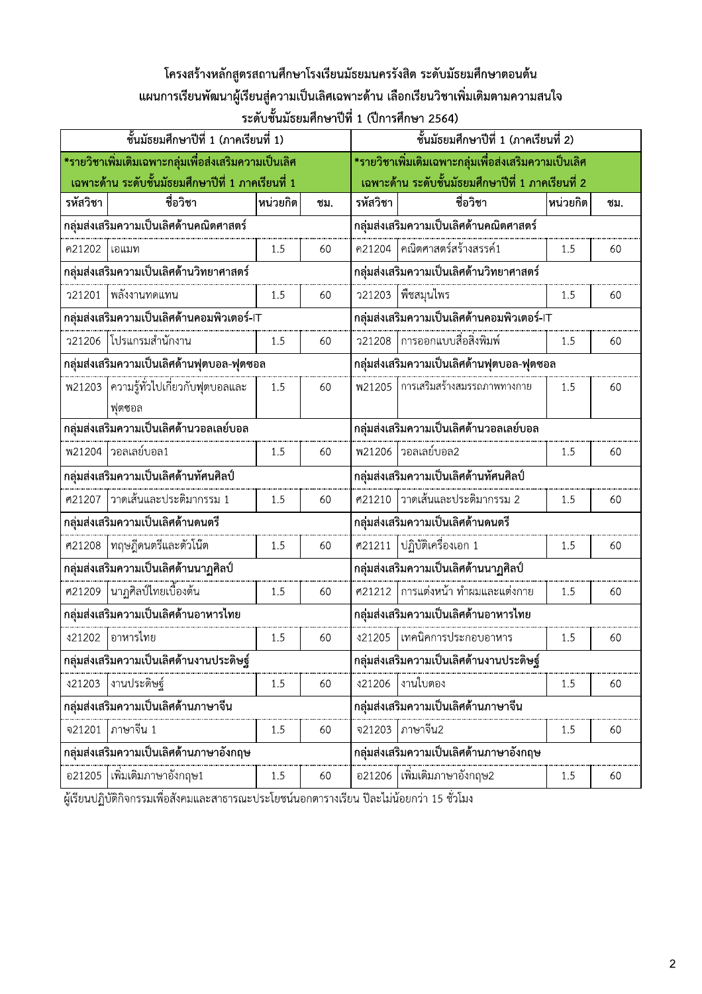## โครงสร้างหลักสูตรสถานศึกษาโรงเรียนมัธยมนครรังสิต ระดับมัธยมศึกษาตอนต้น แผนการเรียนพัฒนาผู้เรียนสู่ความเป็นเลิศเฉพาะด้าน เลือกเรียนวิชาเพิ่มเติมตามความสนใจ ์ ระดับชั้นมัธยมศึกษาปีที่ 1 (ปีการศึกษา 2564)

| ์ ชั้นมัธยมศึกษาปีที่ 1 (ภาคเรียนที่ 1)              |                                             |          |     |                                                                                                                                                                                                                                                                                                                                                                | ชั้นมัธยมศึกษาปีที่ 1 (ภาคเรียนที่ 2)                |          |     |  |  |
|------------------------------------------------------|---------------------------------------------|----------|-----|----------------------------------------------------------------------------------------------------------------------------------------------------------------------------------------------------------------------------------------------------------------------------------------------------------------------------------------------------------------|------------------------------------------------------|----------|-----|--|--|
| *รายวิชาเพิ่มเติมเฉพาะกลุ่มเพื่อส่งเสริมความเป็นเลิศ |                                             |          |     |                                                                                                                                                                                                                                                                                                                                                                | *รายวิชาเพิ่มเติมเฉพาะกลุ่มเพื่อส่งเสริมความเป็นเลิศ |          |     |  |  |
| เฉพาะด้าน ระดับชั้นมัธยมศึกษาปีที่ 1 ภาคเรียนที่ 1   |                                             |          |     |                                                                                                                                                                                                                                                                                                                                                                | เฉพาะด้าน ระดับชั้นมัธยมศึกษาปีที่ 1 ภาคเรียนที่ 2   |          |     |  |  |
| รหัสวิชา                                             | ชื่อวิชา                                    | พน่วยกิต | ชม. | รหัสวิชา                                                                                                                                                                                                                                                                                                                                                       | ชื่อวิชา                                             | หน่วยกิต | ชม. |  |  |
| กลุ่มส่งเสริมความเป็นเลิศด้านคณิตศาสตร์              |                                             |          |     | ึกลุ่มส่งเสริมความเป็นเลิศด้านคณิตศาสตร์                                                                                                                                                                                                                                                                                                                       |                                                      |          |     |  |  |
| ค21202 โอแมท                                         |                                             | 1.5      | 60  |                                                                                                                                                                                                                                                                                                                                                                | ค21204 คณิตศาสตร์สร้างสรรค์1                         | 1.5      | 60  |  |  |
| กลุ่มส่งเสริมความเป็นเลิศด้านวิทยาศาสตร์             |                                             |          |     |                                                                                                                                                                                                                                                                                                                                                                | กลุ่มส่งเสริมความเป็นเลิศด้านวิทยาศาสตร์             |          |     |  |  |
|                                                      | ว21201  พลังงานทดแทน                        | 1.5      | 60  |                                                                                                                                                                                                                                                                                                                                                                |                                                      | 1.5      | 60  |  |  |
|                                                      | กลุ่มส่งเสริมความเป็นเลิศด้านคอมพิวเตอร์-IT |          |     | ว21203  พืชสมุนไพร<br>ึกลุ่มส่งเสริมความเป็นเลิศด้านคอมพิวเตอร์-IT<br>การออกแบบสื่อสิ่งพิมพ์<br><b>221208</b><br>1.5<br>60<br>กลุ่มส่งเสริมความเป็นเลิศด้านฟุตบอล-ฟุตซอล<br>พ21205 การเสริมสร้างสมรรถภาพทางกาย<br>1.5<br>60<br>กลุ่มส่งเสริมความเป็นเลิศด้านวอลเลย์บอล<br> วอลเลย์บอล2<br><b>W21206</b><br>1.5<br>60<br>กลุ่มส่งเสริมความเป็นเลิศด้านทัศนศิลป์ |                                                      |          |     |  |  |
|                                                      | ว21206 โปรแกรมสำนักงาน                      | 1.5      | 60  |                                                                                                                                                                                                                                                                                                                                                                |                                                      |          |     |  |  |
|                                                      | กลุ่มส่งเสริมความเป็นเลิศด้านฟุตบอล-ฟุตซอล  |          |     |                                                                                                                                                                                                                                                                                                                                                                |                                                      |          |     |  |  |
|                                                      | พ21203 ความรู้ทั่วไปเกี่ยวกับฟุตบอลและ      | 1.5      | 60  |                                                                                                                                                                                                                                                                                                                                                                |                                                      |          |     |  |  |
|                                                      | ฟุตซอล                                      |          |     |                                                                                                                                                                                                                                                                                                                                                                |                                                      |          |     |  |  |
|                                                      | กลุ่มส่งเสริมความเป็นเลิศด้านวอลเลย์บอล     |          |     |                                                                                                                                                                                                                                                                                                                                                                |                                                      |          |     |  |  |
|                                                      | พ21204 วอลเลย์บอล1                          | 1.5      | 60  |                                                                                                                                                                                                                                                                                                                                                                |                                                      |          |     |  |  |
|                                                      | กลุ่มส่งเสริมความเป็นเลิศด้านทัศนศิลป์      |          |     |                                                                                                                                                                                                                                                                                                                                                                |                                                      |          |     |  |  |
|                                                      | ศ21207  วาดเส้นและประติมากรรม 1             | 1.5      | 60  | ศ21210                                                                                                                                                                                                                                                                                                                                                         | วาดเส้นและประติมากรรม 2                              | 1.5      | 60  |  |  |
|                                                      | กลุ่มส่งเสริมความเป็นเลิศด้านดนตรี          |          |     | กลุ่มส่งเสริมความเป็นเลิศด้านดนตรี                                                                                                                                                                                                                                                                                                                             |                                                      |          |     |  |  |
| ศ21208                                               | ทฤษฎีดนตรีและตัวโน๊ต                        | 1.5      | 60  | ศ21211                                                                                                                                                                                                                                                                                                                                                         | ปฏิบัติเครื่องเอก 1                                  | 1.5      | 60  |  |  |
|                                                      | กลุ่มส่งเสริมความเป็นเลิศด้านนาฏศิลป์       |          |     | กลุ่มส่งเสริมความเป็นเลิศด้านนาฏศิลป์                                                                                                                                                                                                                                                                                                                          |                                                      |          |     |  |  |
| ศ21209                                               | นาฏศิลป์ไทยเบื้องต้น                        | 1.5      | 60  |                                                                                                                                                                                                                                                                                                                                                                | ๎<br>ฅ21212 │การแต่งหน้า ทำผมและแต่งกาย              | 1.5      | 60  |  |  |
|                                                      | กลุ่มส่งเสริมความเป็นเลิศด้านอาหารไทย       |          |     | กลุ่มส่งเสริมความเป็นเลิศด้านอาหารไทย                                                                                                                                                                                                                                                                                                                          |                                                      |          |     |  |  |
| \$21202                                              | อาหารไทย                                    | 1.5      | 60  | \$21205                                                                                                                                                                                                                                                                                                                                                        | เทคนิคการประกอบอาหาร                                 | 1.5      | 60  |  |  |
|                                                      | กลุ่มส่งเสริมความเป็นเลิศด้านงานประดิษฐ์    |          |     |                                                                                                                                                                                                                                                                                                                                                                | กลุ่มส่งเสริมความเป็นเลิศด้านงานประดิษฐ์             |          |     |  |  |
| \$21203                                              | งานประดิษฐ์                                 | 1.5      | 60  | \$21206                                                                                                                                                                                                                                                                                                                                                        | งานใบตอง                                             | 1.5      | 60  |  |  |
|                                                      | กลุ่มส่งเสริมความเป็นเลิศด้านภาษาจีน        |          |     |                                                                                                                                                                                                                                                                                                                                                                | กลุ่มส่งเสริมความเป็นเลิศด้านภาษาจีน                 |          |     |  |  |
| จ21201                                               | ภาษาจีน 1                                   | 1.5      | 60  | จ21203                                                                                                                                                                                                                                                                                                                                                         | ภาษาจีน2                                             | 1.5      | 60  |  |  |
|                                                      | กลุ่มส่งเสริมความเป็นเลิศด้านภาษาอังกฤษ     |          |     |                                                                                                                                                                                                                                                                                                                                                                | กลุ่มส่งเสริมความเป็นเลิศด้านภาษาอังกฤษ              |          |     |  |  |
| อ21205                                               | เพิ่มเติมภาษาอังกฤษ1                        | 1.5      | 60  |                                                                                                                                                                                                                                                                                                                                                                | ้อ21206 ใเพิ่มเติมภาษาอังกฤษ2                        | $1.5\,$  | 60  |  |  |

์ ผู้เรียนปฏิบัติกิจกรรมเพื่อสังคมและสาธารณะประโยชน์นอกตารางเรียน ปีละไม่น้อยกว่า 15 ชั่วโมง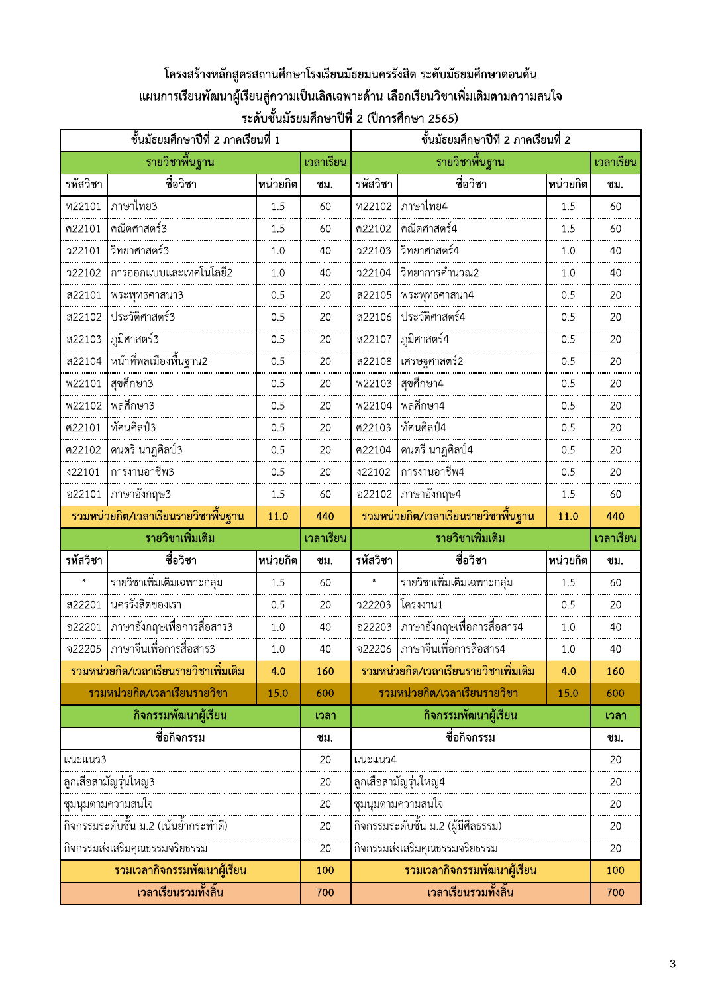# โครงสร้างหลักสูตรสถานศึกษาโรงเรียนมัธยมนครรังสิต ระดับมัธยมศึกษาตอนต้น ้ แผนการเรียนพัฒนาผู้เรียนสู่ความเป็นเลิศเฉพาะด้าน เลือกเรียนวิชาเพิ่มเติมตามความสนใจ ์ ระดับชั้นมัธยมศึกษาปีที่ 2 (ปีการศึกษา 2565)

| ์ชั้นมัธยมศึกษาปีที่ 2 ภาคเรียนที่ 1 |                                       |          |           |                | ์ชั้นมัธยมศึกษาปีที่ 2 ภาคเรียนที่ 2   |          |           |  |
|--------------------------------------|---------------------------------------|----------|-----------|----------------|----------------------------------------|----------|-----------|--|
|                                      | รายวิชาพื้นฐาน                        |          | เวลาเรียน |                | รายวิชาพื้นฐาน                         |          | เวลาเรียน |  |
| รหัสวิชา                             | ชื่อวิชา                              | หน่วยกิต | ชม.       | รหัสวิชา       | ชื่อวิชา                               | หน่วยกิต | ชม.       |  |
| ท22101                               | ภาษาไทย3                              | 1.5      | 60        | พ22102         | ภาษาไทย4                               | 1.5      | 60        |  |
| ค22101                               | คณิตศาสตร์3                           | 1.5      | 60        | ค22102         | คณิตศาสตร์4                            | 1.5      | 60        |  |
| <b>722101</b>                        | วิทยาศาสตร์3                          | 1.0      | 40        | 722103         | วิทยาศาสตร์4                           | 1.0      | 40        |  |
| <b>22102</b>                         | การออกแบบและเทคโนโลยี2                | 1.0      | 40        | <b>722104</b>  | วิทยาการคำนวณ2                         | 1.0      | 40        |  |
| ส22101                               | พระพุทธศาสนา3                         | 0.5      | 20        | ส22105         | พระพุทธศาสนา4                          | 0.5      | 20        |  |
| ส22102                               | ประวัติศาสตร์3                        | 0.5      | 20        | ส22106         | ประวัติศาสตร์4                         | 0.5      | 20        |  |
| ส22103                               | ภูมิศาสตร์3                           | 0.5      | 20        | ส22107         | ภูมิศาสตร์4                            | 0.5      | 20        |  |
| ส22104                               |                                       | 0.5      | 20        | ส22108         | เศรษฐศาสตร์2                           | 0.5      | 20        |  |
| <b>W22101</b>                        | สุขศึกษา3                             | 0.5      | 20        | <b>W22103</b>  | สุขศึกษา4                              | 0.5      | 20        |  |
| <b>W22102</b>                        | พลศึกษา3                              | 0.5      | 20        | <b>W22104</b>  | พลศึกษา4                               | 0.5      | 20        |  |
| ศ22101                               | ทัศนศิลป์3                            | 0.5      | 20        | ศ22103         | ทัศนศิลป์4                             | 0.5      | 20        |  |
| ศ22102                               | ดนตรี-นาฎศิลป์3                       | 0.5      | 20        | ศ22104         | ดนตรี-นาฎศิลป์4                        | 0.5      | 20        |  |
| \$22101                              | การงานอาชีพ3                          | 0.5      | 20        | \$22102        | การงานอาชีพ4                           | 0.5      | 20        |  |
| อ22101                               | ภาษาอังกฤษ3                           | 1.5      | 60        | อ22102         | ภาษาอังกฤษ4                            | 1.5      | 60        |  |
|                                      | ้รวมหน่วยกิต/เวลาเรียนรายวิชาพื้นฐาน  | 11.0     | 440       |                | ้ รวมหน่วยกิต/เวลาเรียนรายวิชาพื้นฐาน  | 11.0     | 440       |  |
|                                      | รายวิชาเพิ่มเติม                      |          | เวลาเรียน |                | รายวิชาเพิ่มเติม                       |          | เวลาเรียน |  |
| รหัสวิชา                             | ชื่อวิชา                              | หน่วยกิต | ชม.       | รหัสวิชา       | ชื่อวิชา                               | หน่วยกิต | ชม.       |  |
| $\star$                              |                                       | 1.5      | 60        | $\pmb{\times}$ | รายวิชาเพิ่มเติมเฉพาะกลุ่ม             | 1.5      | 60        |  |
| ส22201                               | นครรังสิตของเรา                       | 0.5      | 20        | 722203         | โครงงาน1                               | 0.5      | 20        |  |
| อ22201                               | ภาษาอังกฤษเพื่อการสื่อสาร3            | 1.0      | 40        | อ22203         | ภาษาอังกฤษเพื่อการสื่อสาร4             | $1.0$    | 40        |  |
| จ22205                               | ภาษาจีนเพื่อการสื่อสาร3               | 1.0      | 40        | จ22206         | ภาษาจีนเพื่อการสื่อสาร4                | 1.0      | 40        |  |
|                                      | รวมหน่วยกิต/เวลาเรียนรายวิชาเพิ่มเติม | 4.0      | 160       |                | ้รวมหน่วยกิต/เวลาเรียนรายวิชาเพิ่มเติม | 4.0      | 160       |  |
|                                      | รวมหน่วยกิต/เวลาเรียนรายวิชา          | 15.0     | 600       |                | รวมหน่วยกิต/เวลาเรียนรายวิชา           | 15.0     | 600       |  |
|                                      | กิจกรรมพัฒนาผู้เรียน                  |          | เวลา      |                | กิจกรรมพัฒนาผู้เรียน                   |          | เวลา      |  |
|                                      | ชื่อกิจกรรม                           |          | ชม.       |                | ชื่อกิจกรรม                            |          | ชม.       |  |
| แนะแนว3                              |                                       |          | 20        | แนะแนว4        |                                        |          |           |  |
|                                      | ลูกเสือสามัญรุ่นใหญ่3                 |          | 20        |                | ลูกเสือสามัญรุ่นใหญ่4                  |          | 20        |  |
|                                      | ชุมนุมตามความสนใจ                     |          | 20        |                | ชุมนุมตามความสนใจ                      |          | 20        |  |
|                                      |                                       |          | 20        |                | กิจกรรมระดับชั้น ม.2 (ผู้มีศีลธรรม)    |          | 20        |  |
|                                      | กิจกรรมส่งเสริมคุณธรรมจริยธรรม        |          | 20        |                | กิจกรรมส่งเสริมคุณธรรมจริยธรรม         |          | 20        |  |
|                                      | รวมเวลากิจกรรมพัฒนาผู้เรียน           |          | 100       |                | รวมเวลากิจกรรมพัฒนาผู้เรียน            |          | 100       |  |
| เวลาเรียนรวมทั้งสิ้น                 |                                       |          | 700       |                | เวลาเรียนรวมทั้งสิ้น                   |          | 700       |  |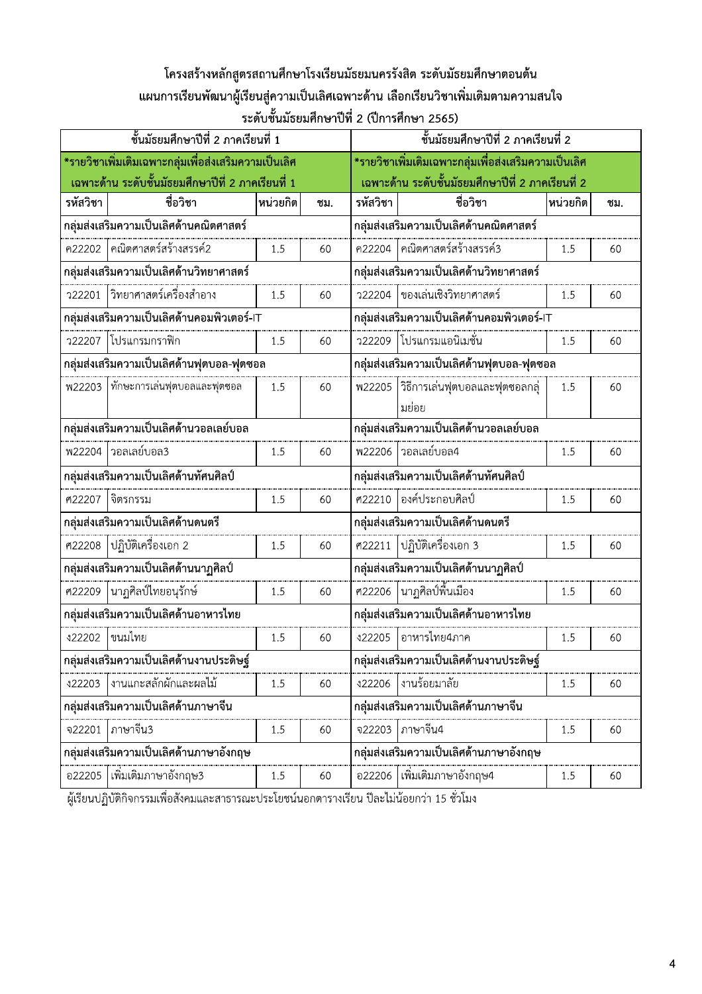## โครงสร้างหลักสูตรสถานศึกษาโรงเรียนมัธยมนครรังสิต ระดับมัธยมศึกษาตอนต้น แผนการเรียนพัฒนาผู้เรียนสู่ความเป็นเลิศเฉพาะด้าน เลือกเรียนวิชาเพิ่มเติมตามความสนใจ ์ ระดับชั้นมัธยมศึกษาปีที่ 2 (ปีการศึกษา 2565)

| ชั้นมัธยมศึกษาปีที่ 2 ภาคเรียนที่ 1                       |                                              |          |     |                                                                                                    | ชั้นมัธยมศึกษาปีที่ 2 ภาคเรียนที่ 2                  |          |     |  |  |
|-----------------------------------------------------------|----------------------------------------------|----------|-----|----------------------------------------------------------------------------------------------------|------------------------------------------------------|----------|-----|--|--|
| *รายวิชาเพิ่มเติมเฉพาะกลุ่มเพื่อส่งเสริมความเป็นเลิศ      |                                              |          |     |                                                                                                    | *รายวิชาเพิ่มเติมเฉพาะกลุ่มเพื่อส่งเสริมความเป็นเลิศ |          |     |  |  |
| <u>เฉพาะด้าน ระดับชั้นมัธยมศึกษาปีที่ 2 ภาคเรียนที่ 1</u> |                                              |          |     |                                                                                                    | เฉพาะด้าน ระดับชั้นมัธยมศึกษาปีที่ 2 ภาคเรียนที่ 2   |          |     |  |  |
| รหัสวิชา                                                  | ชื่อวิชา                                     | พน่วยกิต | ชม. | รหัสวิชา                                                                                           | ชื่อวิชา                                             | หน่วยกิต | ชม. |  |  |
| กลุ่มส่งเสริมความเป็นเลิศด้านคณิตศาสตร์                   |                                              |          |     |                                                                                                    | กลุ่มส่งเสริมความเป็นเลิศด้านคณิตศาสตร์              |          |     |  |  |
|                                                           | ค22202 คณิตศาสตร์สร้างสรรค์2                 | 1.5      | 60  |                                                                                                    | ค22204 คณิตศาสตร์สร้างสรรค์3                         | 1.5      | 60  |  |  |
| กลุ่มส่งเสริมความเป็นเลิศด้านวิทยาศาสตร์                  |                                              |          |     |                                                                                                    | กลุ่มส่งเสริมความเป็นเลิศด้านวิทยาศาสตร์             |          |     |  |  |
|                                                           | ว22201  วิทยาศาสตร์เครื่องสำอาง              | 1.5      | 60  |                                                                                                    | ว22204 ของเล่นเชิงวิทยาศาสตร์                        | 1.5      | 60  |  |  |
|                                                           | ึกลุ่มส่งเสริมความเป็นเลิศด้านคอมพิวเตอร์-IT |          |     |                                                                                                    | กลุ่มส่งเสริมความเป็นเลิศด้านคอมพิวเตอร์-IT          |          |     |  |  |
|                                                           | ้ว22207 โปรแกรมกราฟิก                        | 1.5      | 60  |                                                                                                    | ว22209 โปรแกรมแอนิเมชั่น                             | 1.5      | 60  |  |  |
|                                                           | กลุ่มส่งเสริมความเป็นเลิศด้านฟุตบอล-ฟุตซอล   |          |     | กลุ่มส่งเสริมความเป็นเลิศด้านฟุตบอล-ฟุตซอล<br>พ22205   วิธีการเล่นฟุตบอลและฟุตซอลกลุ่<br>1.5<br>60 |                                                      |          |     |  |  |
|                                                           | <br>พ22203   ทักษะการเล่นฟุตบอลและฟุตซอล     | 1.5      | 60  |                                                                                                    |                                                      |          |     |  |  |
|                                                           |                                              |          |     |                                                                                                    | มย่อย                                                |          |     |  |  |
|                                                           | กลุ่มส่งเสริมความเป็นเลิศด้านวอลเลย์บอล      |          |     |                                                                                                    | กลุ่มส่งเสริมความเป็นเลิศด้านวอลเลย์บอล              |          |     |  |  |
|                                                           | พ22204  วอลเลย์บอล3                          | 1.5      | 60  | <b>W22206</b>                                                                                      | ่ วอลเลย์บอล4                                        | 1.5      | 60  |  |  |
|                                                           | กลุ่มส่งเสริมความเป็นเลิศด้านทัศนศิลป์       |          |     |                                                                                                    | กลุ่มส่งเสริมความเป็นเลิศด้านทัศนศิลป์               |          |     |  |  |
|                                                           | ศ22207  จิตรกรรม                             | 1.5      | 60  |                                                                                                    | ้ศ22210 องค์ประกอบศิลป์                              | 1.5      | 60  |  |  |
|                                                           | กลุ่มส่งเสริมความเป็นเลิศด้านดนตรี           |          |     | กลุ่มส่งเสริมความเป็นเลิศด้านดนตรี                                                                 |                                                      |          |     |  |  |
|                                                           | ศ22208 ปฏิบัติเครื่องเอก 2                   | 1.5      | 60  |                                                                                                    | ศ22211 ปฏิบัติเครื่องเอก 3                           | 1.5      | 60  |  |  |
|                                                           | กลุ่มส่งเสริมความเป็นเลิศด้านนาฏศิลป์        |          |     | กลุ่มส่งเสริมความเป็นเลิศด้านนาฏศิลป์                                                              |                                                      |          |     |  |  |
|                                                           | ศ22209  นาฏศิลป์ไทยอนุรักษ์                  | 1.5      | 60  |                                                                                                    | ศ22206  นาฏศิลป์พื้นเมือง                            | 1.5      | 60  |  |  |
|                                                           | กลุ่มส่งเสริมความเป็นเลิศด้านอาหารไทย        |          |     | กลุ่มส่งเสริมความเป็นเลิศด้านอาหารไทย                                                              |                                                      |          |     |  |  |
| \$22202                                                   | ขนมไทย                                       | 1.5      | 60  | \$22205                                                                                            | อาหารไทย4ภาค                                         | 1.5      | 60  |  |  |
|                                                           | กลุ่มส่งเสริมความเป็นเลิศด้านงานประดิษฐ์     |          |     |                                                                                                    | กลุ่มส่งเสริมความเป็นเลิศด้านงานประดิษฐ์             |          |     |  |  |
| \$22203                                                   | งานแกะสลักผักและผลไม้                        | 1.5      | 60  | \$22206                                                                                            | งานร้อยมาลัย                                         | 1.5      | 60  |  |  |
|                                                           | กลุ่มส่งเสริมความเป็นเลิศด้านภาษาจีน         |          |     |                                                                                                    | กลุ่มส่งเสริมความเป็นเลิศด้านภาษาจีน                 |          |     |  |  |
| จ22201                                                    | ภาษาจีน3                                     | 1.5      | 60  | จ22203                                                                                             | ภาษาจีน4                                             | 1.5      | 60  |  |  |
|                                                           | กลุ่มส่งเสริมความเป็นเลิศด้านภาษาอังกฤษ      |          |     |                                                                                                    | กลุ่มส่งเสริมความเป็นเลิศด้านภาษาอังกฤษ              |          |     |  |  |
| อ22205                                                    | เพิ่มเติมภาษาอังกฤษ3                         | 1.5      | 60  |                                                                                                    | ้อ22206 ใเพิ่มเติมภาษาอังกฤษ4                        | $1.5\,$  | 60  |  |  |

้ ผู้เรียนปฏิบัติกิจกรรมเพื่อสังคมและสาธารณะประโยชน์นอกตารางเรียน ปีละไม่น้อยกว่า 15 ชั่วโมง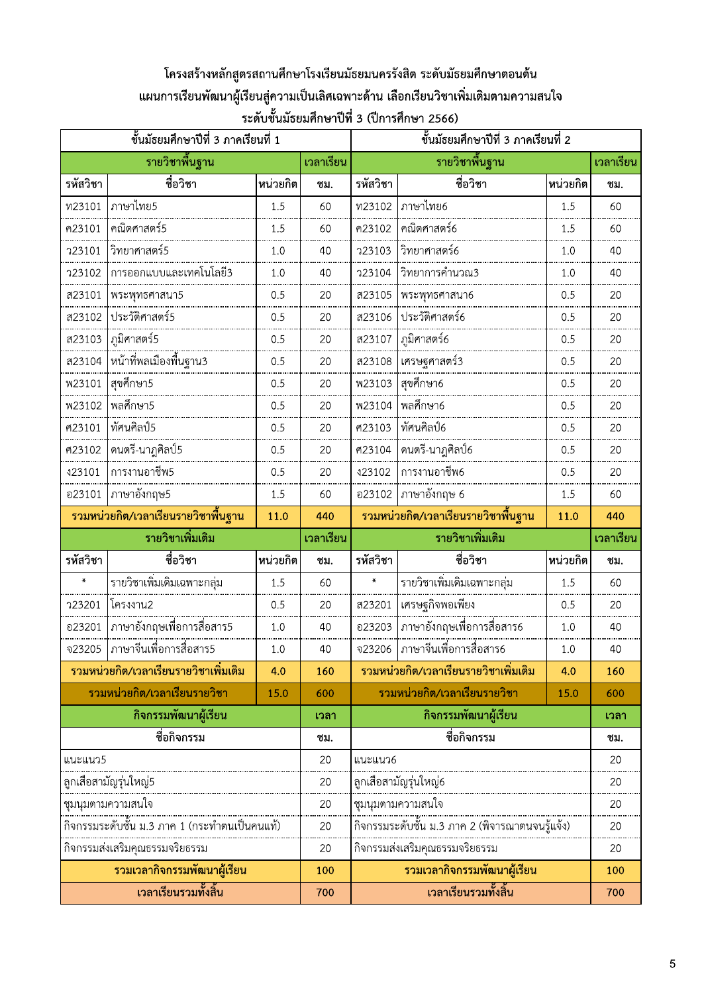# โครงสร้างหลักสูตรสถานศึกษาโรงเรียนมัธยมนครรังสิต ระดับมัธยมศึกษาตอนต้น ้ แผนการเรียนพัฒนาผู้เรียนสู่ความเป็นเลิศเฉพาะด้าน เลือกเรียนวิชาเพิ่มเติมตามความสนใจ ์ ระดับชั้นมัธยมศึกษาปีที่ 3 (ปีการศึกษา 2566)

| ชั้นมัธยมศึกษาปีที่ 3 ภาคเรียนที่ 1 |                                                      |          |           |                      | ชั้นมัธยมศึกษาปีที่ 3 ภาคเรียนที่ 2                  |          |           |  |
|-------------------------------------|------------------------------------------------------|----------|-----------|----------------------|------------------------------------------------------|----------|-----------|--|
|                                     | รายวิชาพื้นฐาน                                       |          | เวลาเรียน |                      | รายวิชาพื้นฐาน                                       |          | เวลาเรียน |  |
| รหัสวิชา                            | ชื่อวิชา                                             | หน่วยกิต | ชม.       | รหัสวิชา             | ชื่อวิชา                                             | หน่วยกิต | ชม.       |  |
| พ23101                              | ภาษาไทย5                                             | 1.5      | 60        | พ23102               | ภาษาไทย6                                             | 1.5      | 60        |  |
| ค23101                              | คณิตศาสตร์5                                          | 1.5      | 60        | ค23102               | คณิตศาสตร์6                                          | 1.5      | 60        |  |
| <b>723101</b>                       | วิทยาศาสตร์5                                         | 1.0      | 40        | 723103               | วิทยาศาสตร์6                                         | 1.0      | 40        |  |
| 723102                              | การออกแบบและเทคโนโลยี3                               | 1.0      | 40        | 723104               | วิทยาการคำนวณ3                                       | 1.0      | 40        |  |
| ส23101                              | พระพุทธศาสนา5                                        | 0.5      | 20        | ส23105               | พระพุทธศาสนา6                                        | 0.5      | 20        |  |
| ส23102                              | ประวัติศาสตร์5                                       | 0.5      | 20        | ส23106               | ประวัติศาสตร์6                                       | 0.5      | 20        |  |
| ส23103                              | ภูมิศาสตร์5                                          | 0.5      | 20        | ส23107               | ภูมิศาสตร์6                                          | 0.5      | 20        |  |
| ส23104                              | หน้าที่พลเมืองพื้นฐาน3                               | 0.5      | 20        | ส23108               | เศรษฐศาสตร์3                                         | 0.5      | 20        |  |
| <b>W23101</b>                       | สุขศึกษา5                                            | 0.5      | 20        | W23103               | สุขศึกษา6                                            | 0.5      | 20        |  |
| <b>W23102</b>                       | พลศึกษา5                                             | 0.5      | 20        | <b>W23104</b>        | พลศึกษา6                                             | 0.5      | 20        |  |
| ศ23101                              | ทัศนศิลป์5                                           | 0.5      | 20        | ศ23103               | ทัศนศิลป์6                                           | 0.5      | 20        |  |
| ศ23102                              | ดนตรี-นาฎศิลป์5                                      | 0.5      | 20        | ศ23104               | ุดนตรี-นาฎศิลป์6                                     | 0.5      | 20        |  |
| \$23101                             | การงานอาชีพ5                                         | 0.5      | 20        | \$23102              | การงานอาชีพ6                                         | 0.5      | 20        |  |
| อ23101                              | ภาษาอังกฤษ5                                          | 1.5      | 60        | อ23102               | ภาษาอังกฤษ 6                                         | 1.5      | 60        |  |
|                                     | รวมหน่วยกิต/เวลาเรียนรายวิชาพื้นฐาน                  | 11.0     | 440       |                      | ้รวมหน่วยกิต/เวลาเรียนรายวิชาพื้นฐาน                 | 11.0     | 440       |  |
|                                     | รายวิชาเพิ่มเติม                                     |          | เวลาเรียน |                      | รายวิชาเพิ่มเติม                                     |          | เวลาเรียน |  |
| รหัสวิชา                            | ชื่อวิชา                                             | หน่วยกิต | ชม.       | รหัสวิชา             | ชื่อวิชา                                             | หน่วยกิต | ชม.       |  |
| $\star$                             |                                                      | 1.5      | 60        | $\pmb{\times}$       | รายวิชาเพิ่มเติมเฉพาะกลุ่ม                           | 1.5      | 60        |  |
| <b>723201</b>                       | โครงงาน2                                             | 0.5      | 20        | ส23201               | เศรษฐกิจพอเพียง                                      | 0.5      | 20        |  |
| อ23201                              | ภาษาอังกฤษเพื่อการสื่อสาร5                           | 1.0      | 40        | อ23203               | ภาษาอังกฤษเพื่อการสื่อสาร6                           | 1.0      | 40        |  |
| จ23205                              | ภาษาจีนเพื่อการสื่อสาร5                              | $1.0$    | 40        | จ23206               | ภาษาจีนเพื่อการสื่อสาร6                              | 1.0      | 40        |  |
|                                     | รวมหน่วยกิต/เวลาเรียนรายวิชาเพิ่มเติม                | 4.0      | 160       |                      | รวมหน่วยกิต/เวลาเรียนรายวิชาเพิ่มเติม<br>4.0         |          | 160       |  |
|                                     | รวมหน่วยกิต/เวลาเรียนรายวิชา                         | 15.0     | 600       |                      | รวมหน่วยกิต/เวลาเรียนรายวิชา                         | 15.0     | 600       |  |
|                                     | กิจกรรมพัฒนาผู้เรียน                                 |          |           | กิจกรรมพัฒนาผู้เรียน |                                                      |          | เวลา      |  |
|                                     | ชื่อกิจกรรม                                          |          |           |                      |                                                      |          |           |  |
| แนะแนว5                             |                                                      |          | ชม.       |                      | ชื่อกิจกรรม                                          |          | ชม.       |  |
|                                     |                                                      |          | 20        | แนะแนว6              |                                                      |          | 20        |  |
|                                     | ลูกเสือสามัญรุ่นใหญ่5                                |          | 20        |                      | ลูกเสือสามัญรุ่นใหญ่6                                |          | 20        |  |
|                                     | ชุมนุมตามความสนใจ                                    |          | 20        |                      | ชุมนุมตามความสนใจ                                    |          | 20        |  |
|                                     |                                                      |          | 20        |                      |                                                      |          | 20        |  |
|                                     | กิจกรรมส่งเสริมคุณธรรมจริยธรรม                       |          | 20        |                      | กิจกรรมส่งเสริมคุณธรรมจริยธรรม                       |          | 20        |  |
|                                     | รวมเวลากิจกรรมพัฒนาผู้เรียน<br>้เวลาเรียนรวมทั้งสิ้น |          | 100       |                      | รวมเวลากิจกรรมพัฒนาผู้เรียน<br>้เวลาเรียนรวมทั้งสิ้น |          | 100       |  |